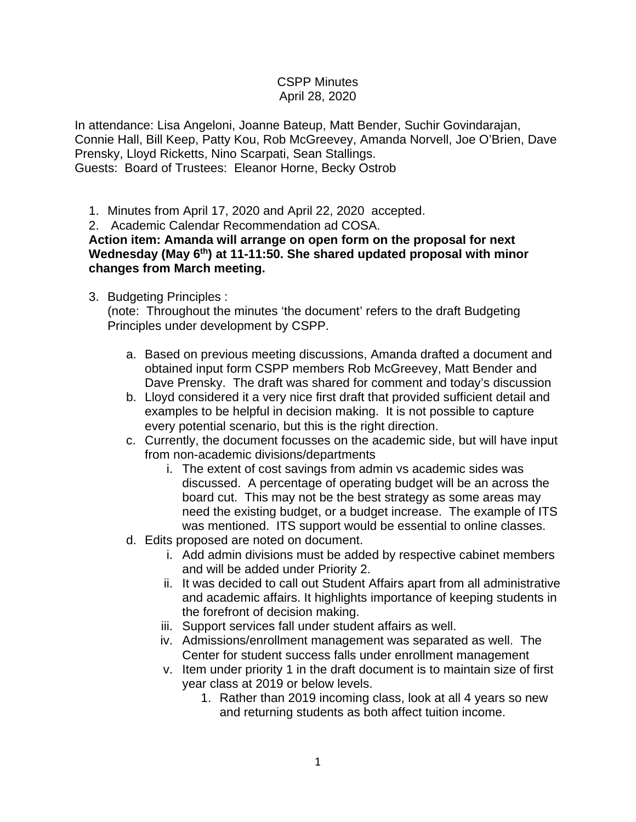## CSPP Minutes April 28, 2020

In attendance: Lisa Angeloni, Joanne Bateup, Matt Bender, Suchir Govindarajan, Connie Hall, Bill Keep, Patty Kou, Rob McGreevey, Amanda Norvell, Joe O'Brien, Dave Prensky, Lloyd Ricketts, Nino Scarpati, Sean Stallings. Guests: Board of Trustees: Eleanor Horne, Becky Ostrob

1. Minutes from April 17, 2020 and April 22, 2020 accepted.

2. Academic Calendar Recommendation ad COSA.

**Action item: Amanda will arrange on open form on the proposal for next**  Wednesday (May 6<sup>th</sup>) at 11-11:50. She shared updated proposal with minor **changes from March meeting.**

## 3. Budgeting Principles :

(note: Throughout the minutes 'the document' refers to the draft Budgeting Principles under development by CSPP.

- a. Based on previous meeting discussions, Amanda drafted a document and obtained input form CSPP members Rob McGreevey, Matt Bender and Dave Prensky. The draft was shared for comment and today's discussion
- b. Lloyd considered it a very nice first draft that provided sufficient detail and examples to be helpful in decision making. It is not possible to capture every potential scenario, but this is the right direction.
- c. Currently, the document focusses on the academic side, but will have input from non-academic divisions/departments
	- i. The extent of cost savings from admin vs academic sides was discussed. A percentage of operating budget will be an across the board cut. This may not be the best strategy as some areas may need the existing budget, or a budget increase. The example of ITS was mentioned. ITS support would be essential to online classes.
- d. Edits proposed are noted on document.
	- i. Add admin divisions must be added by respective cabinet members and will be added under Priority 2.
	- ii. It was decided to call out Student Affairs apart from all administrative and academic affairs. It highlights importance of keeping students in the forefront of decision making.
	- iii. Support services fall under student affairs as well.
	- iv. Admissions/enrollment management was separated as well. The Center for student success falls under enrollment management
	- v. Item under priority 1 in the draft document is to maintain size of first year class at 2019 or below levels.
		- 1. Rather than 2019 incoming class, look at all 4 years so new and returning students as both affect tuition income.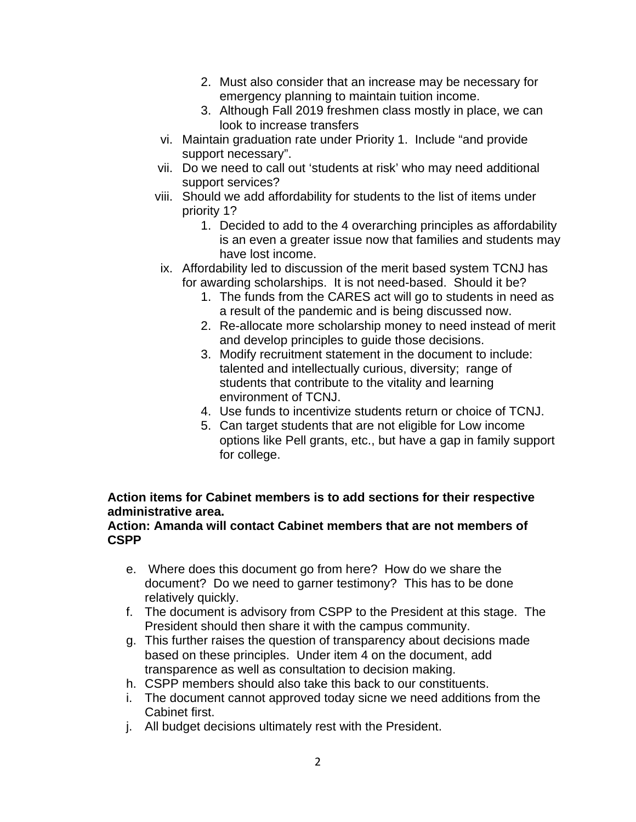- 2. Must also consider that an increase may be necessary for emergency planning to maintain tuition income.
- 3. Although Fall 2019 freshmen class mostly in place, we can look to increase transfers
- vi. Maintain graduation rate under Priority 1. Include "and provide support necessary".
- vii. Do we need to call out 'students at risk' who may need additional support services?
- viii. Should we add affordability for students to the list of items under priority 1?
	- 1. Decided to add to the 4 overarching principles as affordability is an even a greater issue now that families and students may have lost income.
- ix. Affordability led to discussion of the merit based system TCNJ has for awarding scholarships. It is not need-based. Should it be?
	- 1. The funds from the CARES act will go to students in need as a result of the pandemic and is being discussed now.
	- 2. Re-allocate more scholarship money to need instead of merit and develop principles to guide those decisions.
	- 3. Modify recruitment statement in the document to include: talented and intellectually curious, diversity; range of students that contribute to the vitality and learning environment of TCNJ.
	- 4. Use funds to incentivize students return or choice of TCNJ.
	- 5. Can target students that are not eligible for Low income options like Pell grants, etc., but have a gap in family support for college.

## **Action items for Cabinet members is to add sections for their respective administrative area.**

## **Action: Amanda will contact Cabinet members that are not members of CSPP**

- e. Where does this document go from here? How do we share the document? Do we need to garner testimony? This has to be done relatively quickly.
- f. The document is advisory from CSPP to the President at this stage. The President should then share it with the campus community.
- g. This further raises the question of transparency about decisions made based on these principles. Under item 4 on the document, add transparence as well as consultation to decision making.
- h. CSPP members should also take this back to our constituents.
- i. The document cannot approved today sicne we need additions from the Cabinet first.
- j. All budget decisions ultimately rest with the President.